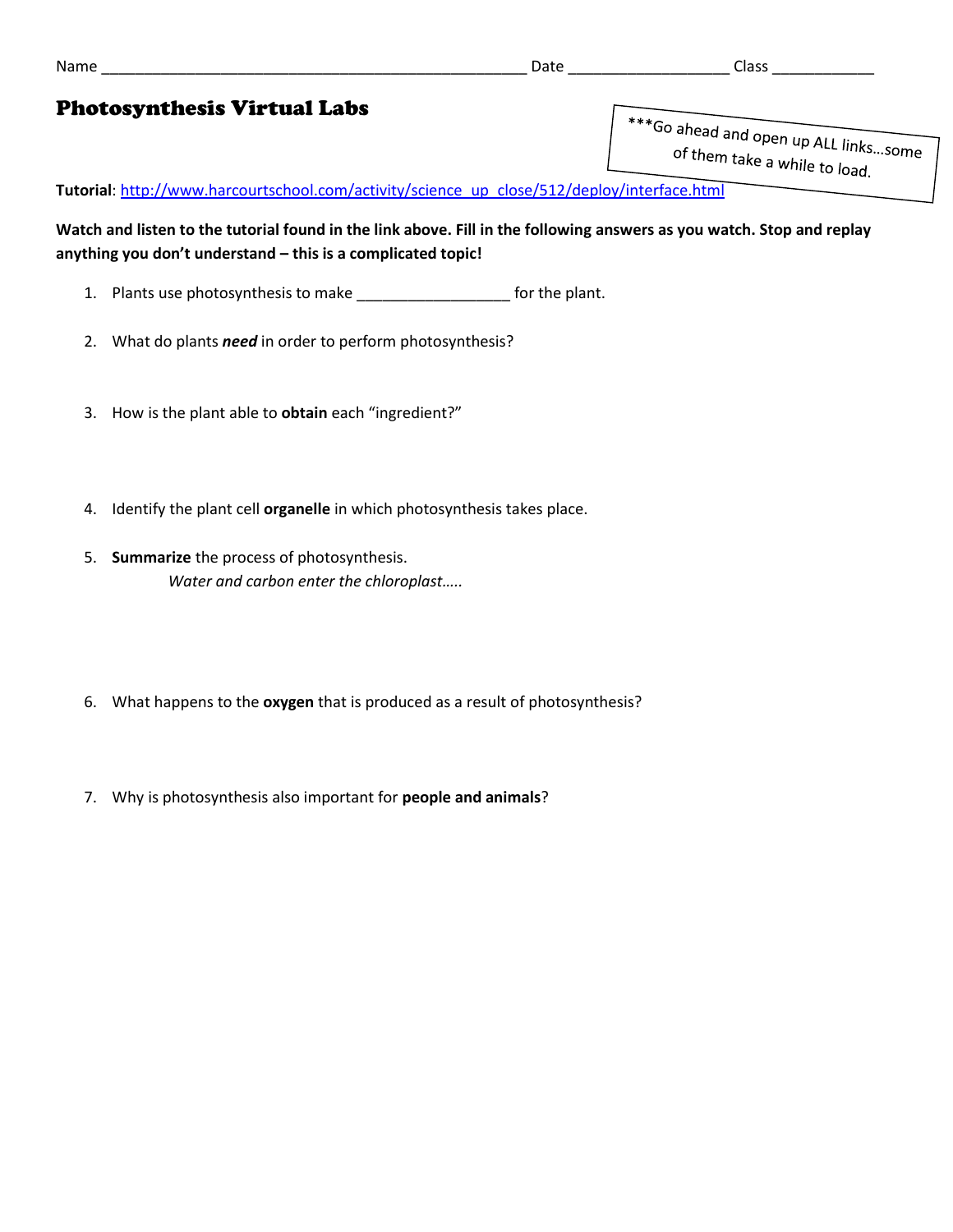## Photosynthesis Virtual Labs

\*\*\*Go ahead and open up ALL links...some<br>of them take a while the times...some of them take a while to load.

**Tutorial**: [http://www.harcourtschool.com/activity/science\\_up\\_close/512/deploy/interface.html](http://www.harcourtschool.com/activity/science_up_close/512/deploy/interface.html)

**Watch and listen to the tutorial found in the link above. Fill in the following answers as you watch. Stop and replay anything you don't understand – this is a complicated topic!**

- 1. Plants use photosynthesis to make \_\_\_\_\_\_\_\_\_\_\_\_\_\_\_\_\_\_ for the plant.
- 2. What do plants *need* in order to perform photosynthesis?
- 3. How is the plant able to **obtain** each "ingredient?"
- 4. Identify the plant cell **organelle** in which photosynthesis takes place.
- 5. **Summarize** the process of photosynthesis. *Water and carbon enter the chloroplast…..*
- 6. What happens to the **oxygen** that is produced as a result of photosynthesis?
- 7. Why is photosynthesis also important for **people and animals**?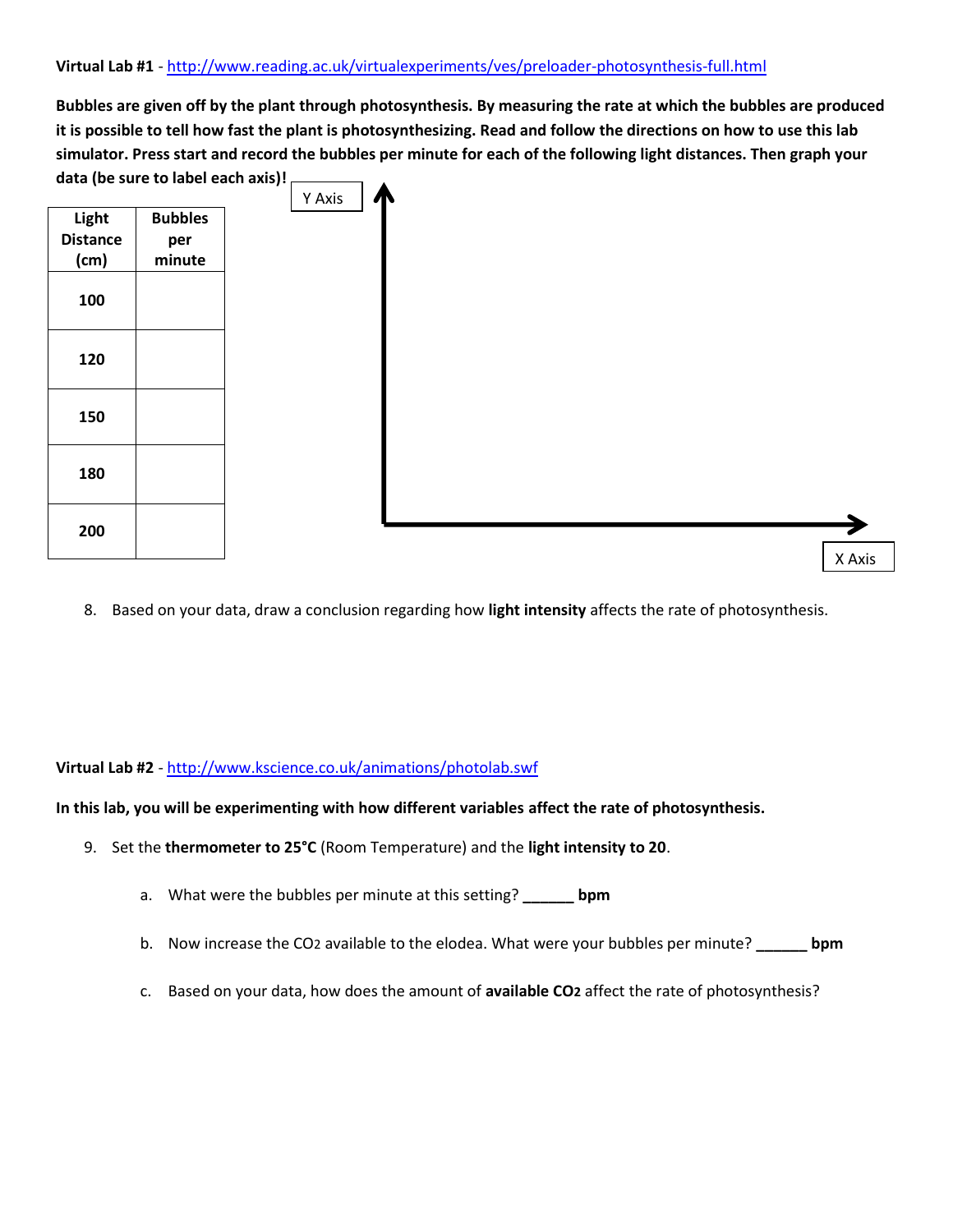**Bubbles are given off by the plant through photosynthesis. By measuring the rate at which the bubbles are produced it is possible to tell how fast the plant is photosynthesizing. Read and follow the directions on how to use this lab simulator. Press start and record the bubbles per minute for each of the following light distances. Then graph your data (be sure to label each axis)!**

|                 |                | Y Axis |  |
|-----------------|----------------|--------|--|
| Light           | <b>Bubbles</b> |        |  |
| <b>Distance</b> | per            |        |  |
| (cm)            | minute         |        |  |
| 100             |                |        |  |
| 120             |                |        |  |
| 150             |                |        |  |
| 180             |                |        |  |
| 200             |                |        |  |

- X Axis
- 8. Based on your data, draw a conclusion regarding how **light intensity** affects the rate of photosynthesis.

**Virtual Lab #2** - <http://www.kscience.co.uk/animations/photolab.swf>

**In this lab, you will be experimenting with how different variables affect the rate of photosynthesis.**

- 9. Set the **thermometer to 25°C** (Room Temperature) and the **light intensity to 20**.
	- a. What were the bubbles per minute at this setting? **\_\_\_\_\_\_ bpm**
	- b. Now increase the CO2 available to the elodea. What were your bubbles per minute? **\_\_\_\_\_\_ bpm**
	- c. Based on your data, how does the amount of **available CO2** affect the rate of photosynthesis?